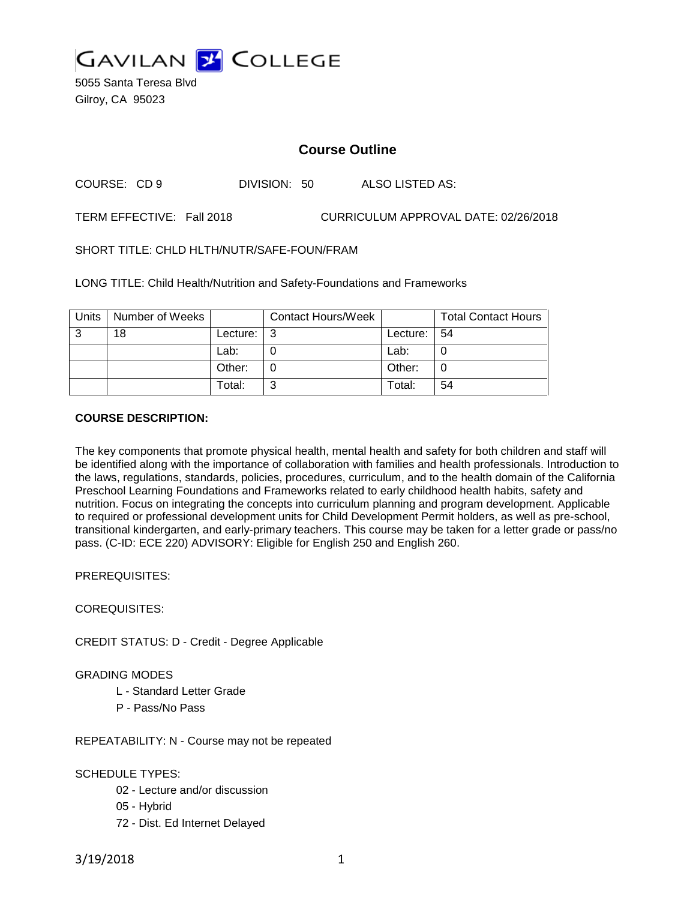

5055 Santa Teresa Blvd Gilroy, CA 95023

# **Course Outline**

COURSE: CD 9 DIVISION: 50 ALSO LISTED AS:

TERM EFFECTIVE: Fall 2018 CURRICULUM APPROVAL DATE: 02/26/2018

SHORT TITLE: CHLD HLTH/NUTR/SAFE-FOUN/FRAM

LONG TITLE: Child Health/Nutrition and Safety-Foundations and Frameworks

| Units | Number of Weeks |          | <b>Contact Hours/Week</b> |               | <b>Total Contact Hours</b> |
|-------|-----------------|----------|---------------------------|---------------|----------------------------|
| 3     | 18              | Lecture: | l 3                       | Lecture:   54 |                            |
|       |                 | Lab:     |                           | Lab:          |                            |
|       |                 | Other:   |                           | Other:        |                            |
|       |                 | Total:   | ⌒                         | Total:        | 54                         |

## **COURSE DESCRIPTION:**

The key components that promote physical health, mental health and safety for both children and staff will be identified along with the importance of collaboration with families and health professionals. Introduction to the laws, regulations, standards, policies, procedures, curriculum, and to the health domain of the California Preschool Learning Foundations and Frameworks related to early childhood health habits, safety and nutrition. Focus on integrating the concepts into curriculum planning and program development. Applicable to required or professional development units for Child Development Permit holders, as well as pre-school, transitional kindergarten, and early-primary teachers. This course may be taken for a letter grade or pass/no pass. (C-ID: ECE 220) ADVISORY: Eligible for English 250 and English 260.

PREREQUISITES:

COREQUISITES:

CREDIT STATUS: D - Credit - Degree Applicable

# GRADING MODES

- L Standard Letter Grade
- P Pass/No Pass

REPEATABILITY: N - Course may not be repeated

SCHEDULE TYPES:

- 02 Lecture and/or discussion
- 05 Hybrid
- 72 Dist. Ed Internet Delayed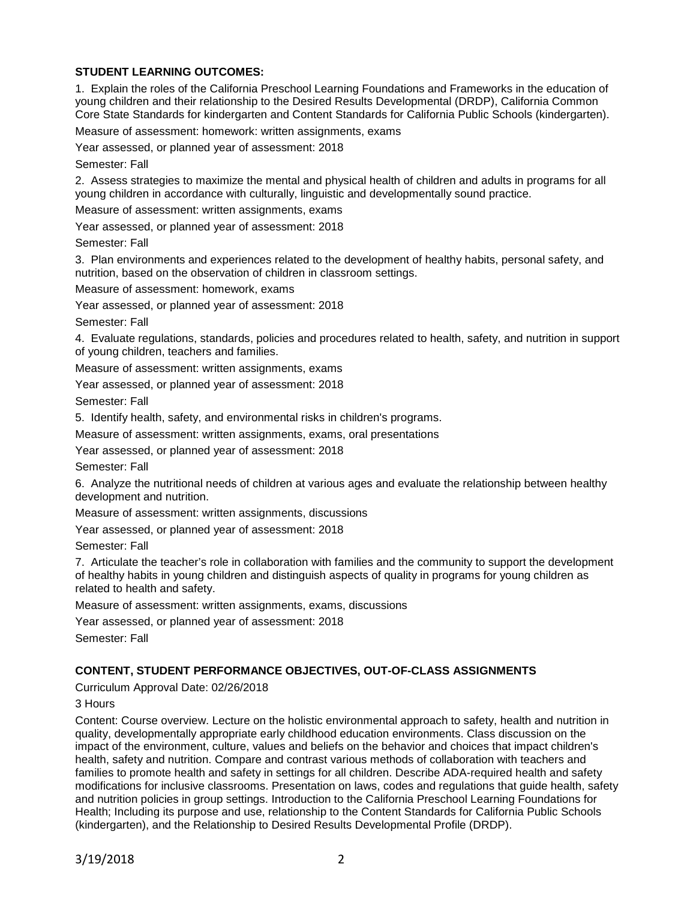# **STUDENT LEARNING OUTCOMES:**

1. Explain the roles of the California Preschool Learning Foundations and Frameworks in the education of young children and their relationship to the Desired Results Developmental (DRDP), California Common Core State Standards for kindergarten and Content Standards for California Public Schools (kindergarten).

Measure of assessment: homework: written assignments, exams

Year assessed, or planned year of assessment: 2018

Semester: Fall

2. Assess strategies to maximize the mental and physical health of children and adults in programs for all young children in accordance with culturally, linguistic and developmentally sound practice.

Measure of assessment: written assignments, exams

Year assessed, or planned year of assessment: 2018

Semester: Fall

3. Plan environments and experiences related to the development of healthy habits, personal safety, and nutrition, based on the observation of children in classroom settings.

Measure of assessment: homework, exams

Year assessed, or planned year of assessment: 2018

Semester: Fall

4. Evaluate regulations, standards, policies and procedures related to health, safety, and nutrition in support of young children, teachers and families.

Measure of assessment: written assignments, exams

Year assessed, or planned year of assessment: 2018

Semester: Fall

5. Identify health, safety, and environmental risks in children's programs.

Measure of assessment: written assignments, exams, oral presentations

Year assessed, or planned year of assessment: 2018

Semester: Fall

6. Analyze the nutritional needs of children at various ages and evaluate the relationship between healthy development and nutrition.

Measure of assessment: written assignments, discussions

Year assessed, or planned year of assessment: 2018

Semester: Fall

7. Articulate the teacher's role in collaboration with families and the community to support the development of healthy habits in young children and distinguish aspects of quality in programs for young children as related to health and safety.

Measure of assessment: written assignments, exams, discussions

Year assessed, or planned year of assessment: 2018

Semester: Fall

# **CONTENT, STUDENT PERFORMANCE OBJECTIVES, OUT-OF-CLASS ASSIGNMENTS**

Curriculum Approval Date: 02/26/2018

## 3 Hours

Content: Course overview. Lecture on the holistic environmental approach to safety, health and nutrition in quality, developmentally appropriate early childhood education environments. Class discussion on the impact of the environment, culture, values and beliefs on the behavior and choices that impact children's health, safety and nutrition. Compare and contrast various methods of collaboration with teachers and families to promote health and safety in settings for all children. Describe ADA-required health and safety modifications for inclusive classrooms. Presentation on laws, codes and regulations that guide health, safety and nutrition policies in group settings. Introduction to the California Preschool Learning Foundations for Health; Including its purpose and use, relationship to the Content Standards for California Public Schools (kindergarten), and the Relationship to Desired Results Developmental Profile (DRDP).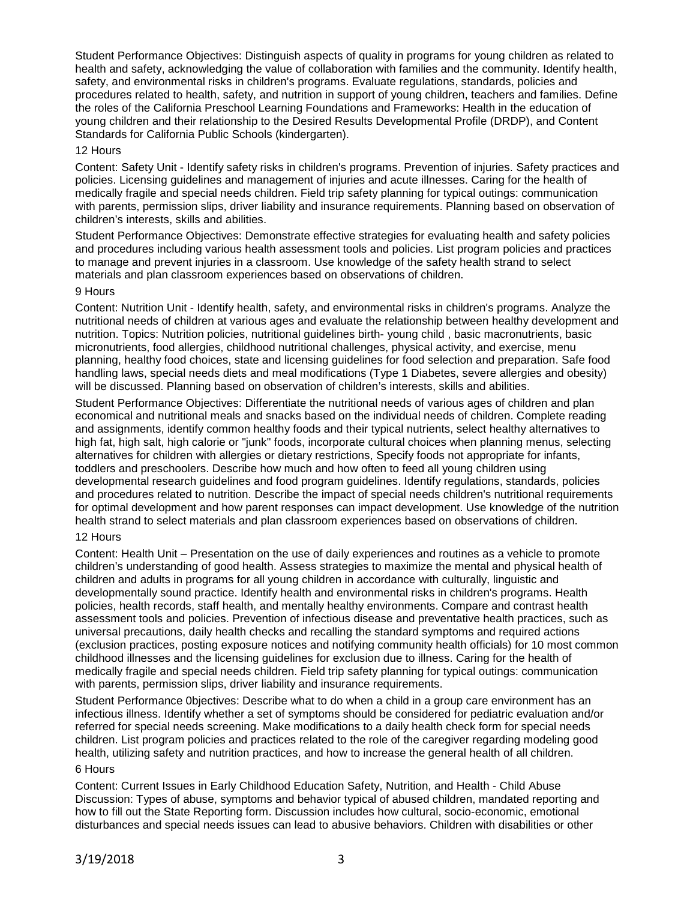Student Performance Objectives: Distinguish aspects of quality in programs for young children as related to health and safety, acknowledging the value of collaboration with families and the community. Identify health, safety, and environmental risks in children's programs. Evaluate regulations, standards, policies and procedures related to health, safety, and nutrition in support of young children, teachers and families. Define the roles of the California Preschool Learning Foundations and Frameworks: Health in the education of young children and their relationship to the Desired Results Developmental Profile (DRDP), and Content Standards for California Public Schools (kindergarten).

## 12 Hours

Content: Safety Unit - Identify safety risks in children's programs. Prevention of injuries. Safety practices and policies. Licensing guidelines and management of injuries and acute illnesses. Caring for the health of medically fragile and special needs children. Field trip safety planning for typical outings: communication with parents, permission slips, driver liability and insurance requirements. Planning based on observation of children's interests, skills and abilities.

Student Performance Objectives: Demonstrate effective strategies for evaluating health and safety policies and procedures including various health assessment tools and policies. List program policies and practices to manage and prevent injuries in a classroom. Use knowledge of the safety health strand to select materials and plan classroom experiences based on observations of children.

## 9 Hours

Content: Nutrition Unit - Identify health, safety, and environmental risks in children's programs. Analyze the nutritional needs of children at various ages and evaluate the relationship between healthy development and nutrition. Topics: Nutrition policies, nutritional guidelines birth- young child , basic macronutrients, basic micronutrients, food allergies, childhood nutritional challenges, physical activity, and exercise, menu planning, healthy food choices, state and licensing guidelines for food selection and preparation. Safe food handling laws, special needs diets and meal modifications (Type 1 Diabetes, severe allergies and obesity) will be discussed. Planning based on observation of children's interests, skills and abilities.

Student Performance Objectives: Differentiate the nutritional needs of various ages of children and plan economical and nutritional meals and snacks based on the individual needs of children. Complete reading and assignments, identify common healthy foods and their typical nutrients, select healthy alternatives to high fat, high salt, high calorie or "junk" foods, incorporate cultural choices when planning menus, selecting alternatives for children with allergies or dietary restrictions, Specify foods not appropriate for infants, toddlers and preschoolers. Describe how much and how often to feed all young children using developmental research guidelines and food program guidelines. Identify regulations, standards, policies and procedures related to nutrition. Describe the impact of special needs children's nutritional requirements for optimal development and how parent responses can impact development. Use knowledge of the nutrition health strand to select materials and plan classroom experiences based on observations of children.

## 12 Hours

Content: Health Unit – Presentation on the use of daily experiences and routines as a vehicle to promote children's understanding of good health. Assess strategies to maximize the mental and physical health of children and adults in programs for all young children in accordance with culturally, linguistic and developmentally sound practice. Identify health and environmental risks in children's programs. Health policies, health records, staff health, and mentally healthy environments. Compare and contrast health assessment tools and policies. Prevention of infectious disease and preventative health practices, such as universal precautions, daily health checks and recalling the standard symptoms and required actions (exclusion practices, posting exposure notices and notifying community health officials) for 10 most common childhood illnesses and the licensing guidelines for exclusion due to illness. Caring for the health of medically fragile and special needs children. Field trip safety planning for typical outings: communication with parents, permission slips, driver liability and insurance requirements.

Student Performance 0bjectives: Describe what to do when a child in a group care environment has an infectious illness. Identify whether a set of symptoms should be considered for pediatric evaluation and/or referred for special needs screening. Make modifications to a daily health check form for special needs children. List program policies and practices related to the role of the caregiver regarding modeling good health, utilizing safety and nutrition practices, and how to increase the general health of all children. 6 Hours

Content: Current Issues in Early Childhood Education Safety, Nutrition, and Health - Child Abuse Discussion: Types of abuse, symptoms and behavior typical of abused children, mandated reporting and how to fill out the State Reporting form. Discussion includes how cultural, socio-economic, emotional disturbances and special needs issues can lead to abusive behaviors. Children with disabilities or other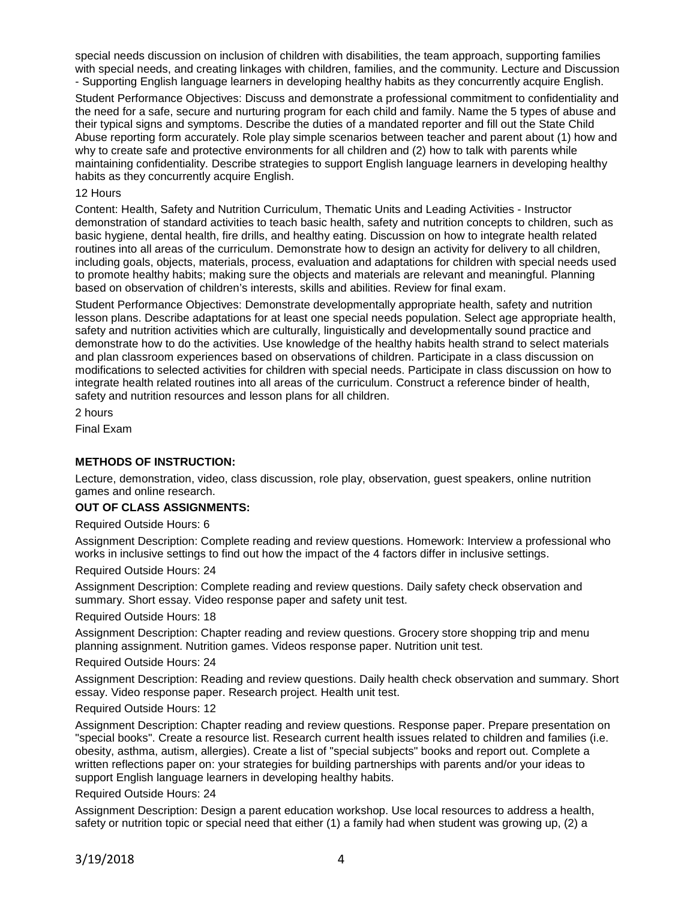special needs discussion on inclusion of children with disabilities, the team approach, supporting families with special needs, and creating linkages with children, families, and the community. Lecture and Discussion - Supporting English language learners in developing healthy habits as they concurrently acquire English.

Student Performance Objectives: Discuss and demonstrate a professional commitment to confidentiality and the need for a safe, secure and nurturing program for each child and family. Name the 5 types of abuse and their typical signs and symptoms. Describe the duties of a mandated reporter and fill out the State Child Abuse reporting form accurately. Role play simple scenarios between teacher and parent about (1) how and why to create safe and protective environments for all children and (2) how to talk with parents while maintaining confidentiality. Describe strategies to support English language learners in developing healthy habits as they concurrently acquire English.

## 12 Hours

Content: Health, Safety and Nutrition Curriculum, Thematic Units and Leading Activities - Instructor demonstration of standard activities to teach basic health, safety and nutrition concepts to children, such as basic hygiene, dental health, fire drills, and healthy eating. Discussion on how to integrate health related routines into all areas of the curriculum. Demonstrate how to design an activity for delivery to all children, including goals, objects, materials, process, evaluation and adaptations for children with special needs used to promote healthy habits; making sure the objects and materials are relevant and meaningful. Planning based on observation of children's interests, skills and abilities. Review for final exam.

Student Performance Objectives: Demonstrate developmentally appropriate health, safety and nutrition lesson plans. Describe adaptations for at least one special needs population. Select age appropriate health, safety and nutrition activities which are culturally, linguistically and developmentally sound practice and demonstrate how to do the activities. Use knowledge of the healthy habits health strand to select materials and plan classroom experiences based on observations of children. Participate in a class discussion on modifications to selected activities for children with special needs. Participate in class discussion on how to integrate health related routines into all areas of the curriculum. Construct a reference binder of health, safety and nutrition resources and lesson plans for all children.

2 hours Final Exam

# **METHODS OF INSTRUCTION:**

Lecture, demonstration, video, class discussion, role play, observation, guest speakers, online nutrition games and online research.

# **OUT OF CLASS ASSIGNMENTS:**

Required Outside Hours: 6

Assignment Description: Complete reading and review questions. Homework: Interview a professional who works in inclusive settings to find out how the impact of the 4 factors differ in inclusive settings.

Required Outside Hours: 24

Assignment Description: Complete reading and review questions. Daily safety check observation and summary. Short essay. Video response paper and safety unit test.

Required Outside Hours: 18

Assignment Description: Chapter reading and review questions. Grocery store shopping trip and menu planning assignment. Nutrition games. Videos response paper. Nutrition unit test.

Required Outside Hours: 24

Assignment Description: Reading and review questions. Daily health check observation and summary. Short essay. Video response paper. Research project. Health unit test.

## Required Outside Hours: 12

Assignment Description: Chapter reading and review questions. Response paper. Prepare presentation on "special books". Create a resource list. Research current health issues related to children and families (i.e. obesity, asthma, autism, allergies). Create a list of "special subjects" books and report out. Complete a written reflections paper on: your strategies for building partnerships with parents and/or your ideas to support English language learners in developing healthy habits.

## Required Outside Hours: 24

Assignment Description: Design a parent education workshop. Use local resources to address a health, safety or nutrition topic or special need that either (1) a family had when student was growing up, (2) a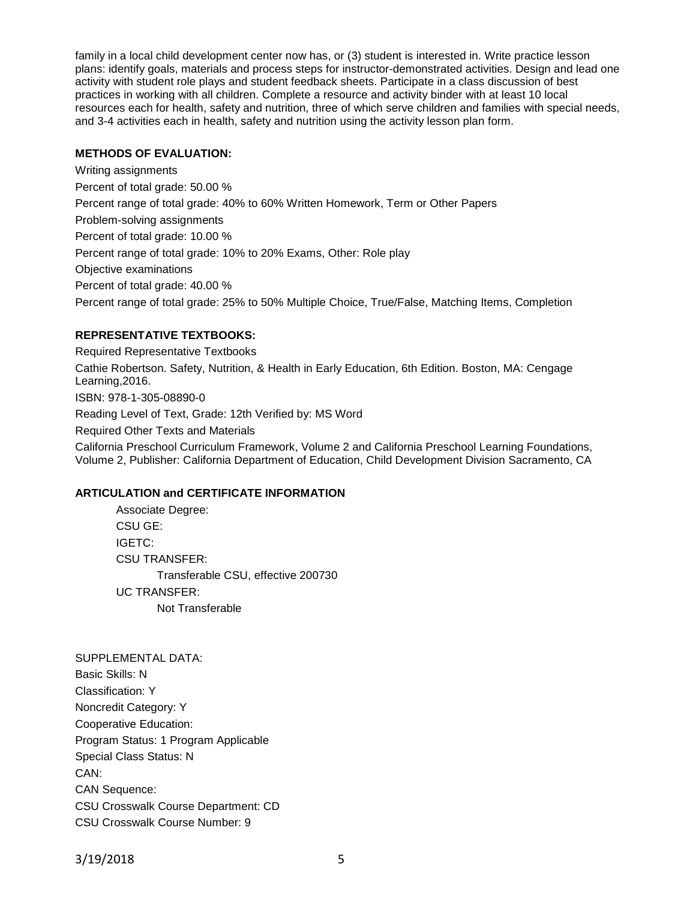family in a local child development center now has, or (3) student is interested in. Write practice lesson plans: identify goals, materials and process steps for instructor-demonstrated activities. Design and lead one activity with student role plays and student feedback sheets. Participate in a class discussion of best practices in working with all children. Complete a resource and activity binder with at least 10 local resources each for health, safety and nutrition, three of which serve children and families with special needs, and 3-4 activities each in health, safety and nutrition using the activity lesson plan form.

## **METHODS OF EVALUATION:**

Writing assignments Percent of total grade: 50.00 % Percent range of total grade: 40% to 60% Written Homework, Term or Other Papers Problem-solving assignments Percent of total grade: 10.00 % Percent range of total grade: 10% to 20% Exams, Other: Role play Objective examinations Percent of total grade: 40.00 % Percent range of total grade: 25% to 50% Multiple Choice, True/False, Matching Items, Completion

# **REPRESENTATIVE TEXTBOOKS:**

Required Representative Textbooks Cathie Robertson. Safety, Nutrition, & Health in Early Education, 6th Edition. Boston, MA: Cengage Learning,2016. ISBN: 978-1-305-08890-0 Reading Level of Text, Grade: 12th Verified by: MS Word Required Other Texts and Materials California Preschool Curriculum Framework, Volume 2 and California Preschool Learning Foundations, Volume 2, Publisher: California Department of Education, Child Development Division Sacramento, CA

# **ARTICULATION and CERTIFICATE INFORMATION**

Associate Degree: CSU GE: IGETC: CSU TRANSFER: Transferable CSU, effective 200730 UC TRANSFER: Not Transferable

SUPPLEMENTAL DATA: Basic Skills: N Classification: Y Noncredit Category: Y Cooperative Education: Program Status: 1 Program Applicable Special Class Status: N CAN: CAN Sequence: CSU Crosswalk Course Department: CD CSU Crosswalk Course Number: 9

3/19/2018 5